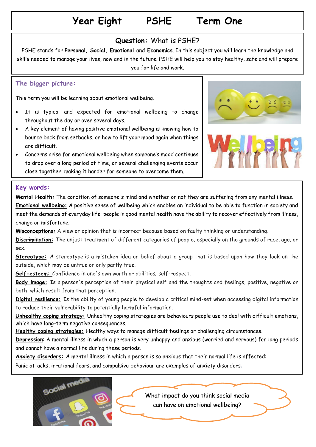# **Year Eight PSHE Term One**

### **Question:** What is PSHE?

PSHE stands for **Personal, Social, Emotional** and **Economics**. In this subject you will learn the knowledge and skills needed to manage your lives, now and in the future. PSHE will help you to stay healthy, safe and will prepare you for life and work.

#### **The bigger picture:**

This term you will be learning about emotional wellbeing.

- It is typical and expected for emotional wellbeing to change throughout the day or over several days.
- A key element of having positive emotional wellbeing is knowing how to bounce back from setbacks, or how to lift your mood again when things are difficult.
- Concerns arise for emotional wellbeing when someone's mood continues to drop over a long period of time, or several challenging events occur close together, making it harder for someone to overcome them.





#### **Key words:**

**Mental Health:** The [condition](https://dictionary.cambridge.org/dictionary/english/condition) of someone's [mind](https://dictionary.cambridge.org/dictionary/english/mind) and whether or not they are [suffering](https://dictionary.cambridge.org/dictionary/english/suffering) from any [mental](https://dictionary.cambridge.org/dictionary/english/mental) [illness.](https://dictionary.cambridge.org/dictionary/english/illness) **Emotional wellbeing:** A positive sense of wellbeing which enables an individual to be able to function in society and meet the demands of everyday life; people in good mental health have the ability to recover effectively from illness, change or misfortune.

**Misconceptions:** A view or opinion that is incorrect because based on faulty thinking or understanding.

**Discrimination:** The unjust treatment of different categories of people, especially on the grounds of race, age, or sex.

**Stereotype:** A stereotype is a mistaken idea or belief about a group that is based upon how they look on the outside, which may be untrue or only partly true.

**Self-esteem:** Confidence in one's own worth or abilities; self-respect.

**Body image:** Is a person's perception of their physical self and the thoughts and feelings, positive, negative or both, which result from that perception.

**Digital resilience:** Is the ability of young people to develop a critical mind-set when accessing digital information to reduce their vulnerability to potentially harmful information.

**Unhealthy coping strategy:** Unhealthy coping strategies are behaviours people use to deal with difficult emotions, which have long-term negative consequences.

**Healthy coping strategies:** Healthy ways to manage difficult feelings or challenging circumstances.

**Depression**: A mental illness in which a person is very unhappy and anxious (worried and nervous) for long periods and cannot have a normal life during these periods.

**Anxiety disorders:** A [mental](https://dictionary.cambridge.org/dictionary/english/mental) [illness](https://dictionary.cambridge.org/dictionary/english/illness) in which a [person](https://dictionary.cambridge.org/dictionary/english/person) is so [anxious](https://dictionary.cambridge.org/dictionary/english/anxious) that [their](https://dictionary.cambridge.org/dictionary/english/their) [normal](https://dictionary.cambridge.org/dictionary/english/normal) [life](https://dictionary.cambridge.org/dictionary/english/life) is [affected:](https://dictionary.cambridge.org/dictionary/english/affected)

Panic [attacks,](https://dictionary.cambridge.org/dictionary/english/attack) [irrational](https://dictionary.cambridge.org/dictionary/english/irrational) [fears,](https://dictionary.cambridge.org/dictionary/english/fear) and [compulsive](https://dictionary.cambridge.org/dictionary/english/compulsive) [behaviour](https://dictionary.cambridge.org/dictionary/english/behaviour) are [examples](https://dictionary.cambridge.org/dictionary/english/example) of [anxiety](https://dictionary.cambridge.org/dictionary/english/anxiety) [disorders](https://dictionary.cambridge.org/dictionary/english/disorder).

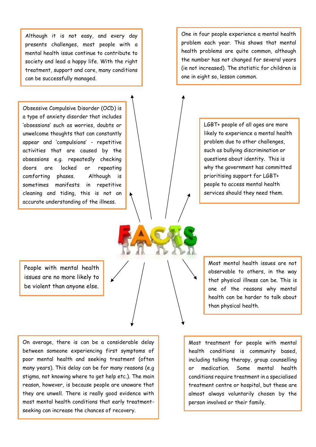Although it is not easy, and every day presents challenges, most people with a mental health issue continue to contribute to society and lead a happy life. With the right treatment, support and care, many conditions can be successfully managed.

Obsessive Compulsive Disorder (OCD) is a type of anxiety disorder that includes 'obsessions' such as worries, doubts or unwelcome thoughts that can constantly appear and 'compulsions' - repetitive activities that are caused by the obsessions e.g. repeatedly checking doors are locked or repeating comforting phases. Although is sometimes manifests in repetitive cleaning and tiding, this is not an accurate understanding of the illness.

One in four people experience a mental health problem each year. This shows that mental health problems are quite common, although the number has not changed for several years (ie not increased). The statistic for children is one in eight so, lesson common.

> LGBT+ people of all ages are more likely to experience a mental health problem due to other challenges, such as bullying discrimination or questions about identity. This is why the government has committed prioritising support for LGBT+ people to access mental health services should they need them.

People with mental health issues are no more likely to be violent than anyone else.

On average, there is can be a considerable delay between someone experiencing first symptoms of poor mental health and seeking treatment (often many years). This delay can be for many reasons (e.g stigma, not knowing where to get help etc.). The main reason, however, is because people are unaware that they are unwell. There is really good evidence with most mental health conditions that early treatmentseeking can increase the chances of recovery.

Most mental health issues are not observable to others, in the way that physical illness can be. This is one of the reasons why mental health can be harder to talk about than physical health.

Most treatment for people with mental health conditions is community based, including talking therapy, group counselling or medication. Some mental health conditions require treatment in a specialised treatment centre or hospital, but these are almost always voluntarily chosen by the person involved or their family.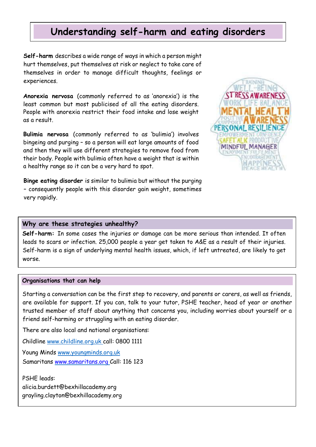## **Understanding self-harm and eating disorders**

**Self-harm** describes a wide range of ways in which a person might hurt themselves, put themselves at risk or neglect to take care of themselves in order to manage difficult thoughts, feelings or experiences.

**Anorexia nervosa** (commonly referred to as 'anorexia') is the least common but most publicised of all the eating disorders. People with anorexia restrict their food intake and lose weight as a result.

**Bulimia nervosa** (commonly referred to as 'bulimia') involves bingeing and purging – so a person will eat large amounts of food and then they will use different strategies to remove food from their body. People with bulimia often have a weight that is within a healthy range so it can be a very hard to spot.

**Binge eating disorder** is similar to bulimia but without the purging – consequently people with this disorder gain weight, sometimes very rapidly.



#### **Why are these strategies unhealthy?**

**Self-harm:** In some cases the injuries or damage can be more serious than intended. It often leads to scars or infection. 25,000 people a year get taken to A&E as a result of their injuries. Self-harm is a sign of underlying mental health issues, which, if left untreated, are likely to get worse.

#### **Organisations that can help**

Starting a conversation can be the first step to recovery, and parents or carers, as well as friends, are available for support. If you can, talk to your tutor, PSHE teacher, head of year or another trusted member of staff about anything that concerns you, including worries about yourself or a friend self-harming or struggling with an eating disorder.

There are also local and national organisations:

Childline [www.childline.org.uk](http://www.childline.org.uk/) call: 0800 1111

Young Minds [www.youngminds.org.uk](http://www.youngminds.org.uk/) Samaritans [www.samaritans.org](http://www.samaritans.org/) Call: 116 123

PSHE leads: [alicia.burdett@bexhillacademy.org](mailto:alicia.burdett@bexhillacademy.org) grayling.clayton@bexhillacademy.org